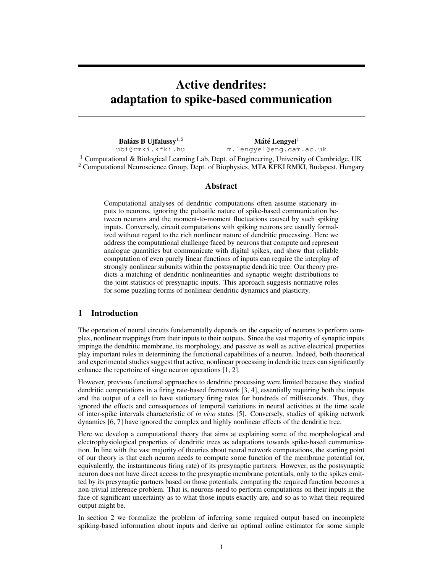# Active dendrites: adaptation to spike-based communication

Balázs B Uifalussv<sup>1,2</sup> ubi@rmki.kfki.hu  $M$ áté Lengyel<sup>1</sup> m.lengyel@eng.cam.ac.uk

<sup>1</sup> Computational & Biological Learning Lab, Dept. of Engineering, University of Cambridge, UK <sup>2</sup> Computational Neuroscience Group, Dept. of Biophysics, MTA KFKI RMKI, Budapest, Hungary

## Abstract

Computational analyses of dendritic computations often assume stationary inputs to neurons, ignoring the pulsatile nature of spike-based communication between neurons and the moment-to-moment fluctuations caused by such spiking inputs. Conversely, circuit computations with spiking neurons are usually formalized without regard to the rich nonlinear nature of dendritic processing. Here we address the computational challenge faced by neurons that compute and represent analogue quantities but communicate with digital spikes, and show that reliable computation of even purely linear functions of inputs can require the interplay of strongly nonlinear subunits within the postsynaptic dendritic tree. Our theory predicts a matching of dendritic nonlinearities and synaptic weight distributions to the joint statistics of presynaptic inputs. This approach suggests normative roles for some puzzling forms of nonlinear dendritic dynamics and plasticity.

## 1 Introduction

The operation of neural circuits fundamentally depends on the capacity of neurons to perform complex, nonlinear mappings from their inputs to their outputs. Since the vast majority of synaptic inputs impinge the dendritic membrane, its morphology, and passive as well as active electrical properties play important roles in determining the functional capabilities of a neuron. Indeed, both theoretical and experimental studies suggest that active, nonlinear processing in dendritic trees can significantly enhance the repertoire of singe neuron operations [1, 2].

However, previous functional approaches to dendritic processing were limited because they studied dendritic computations in a firing rate-based framework [3, 4], essentially requiring both the inputs and the output of a cell to have stationary firing rates for hundreds of milliseconds. Thus, they ignored the effects and consequences of temporal variations in neural activities at the time scale of inter-spike intervals characteristic of *in vivo* states [5]. Conversely, studies of spiking network dynamics [6, 7] have ignored the complex and highly nonlinear effects of the dendritic tree.

Here we develop a computational theory that aims at explaining some of the morphological and electrophysiological properties of dendritic trees as adaptations towards spike-based communication. In line with the vast majority of theories about neural network computations, the starting point of our theory is that each neuron needs to compute some function of the membrane potential (or, equivalently, the instantaneous firing rate) of its presynaptic partners. However, as the postsynaptic neuron does not have direct access to the presynaptic membrane potentials, only to the spikes emitted by its presynaptic partners based on those potentials, computing the required function becomes a non-trivial inference problem. That is, neurons need to perform computations on their inputs in the face of significant uncertainty as to what those inputs exactly are, and so as to what their required output might be.

In section 2 we formalize the problem of inferring some required output based on incomplete spiking-based information about inputs and derive an optimal online estimator for some simple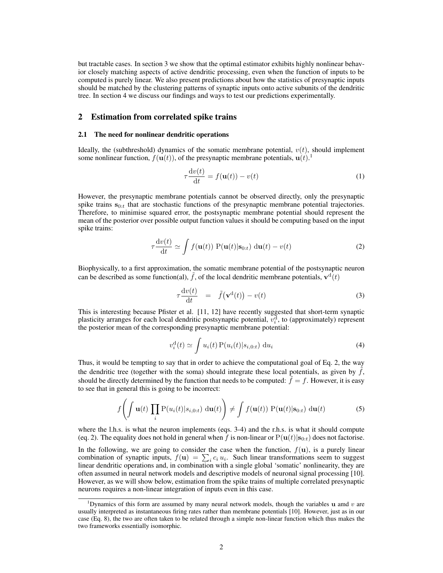but tractable cases. In section 3 we show that the optimal estimator exhibits highly nonlinear behavior closely matching aspects of active dendritic processing, even when the function of inputs to be computed is purely linear. We also present predictions about how the statistics of presynaptic inputs should be matched by the clustering patterns of synaptic inputs onto active subunits of the dendritic tree. In section 4 we discuss our findings and ways to test our predictions experimentally.

## 2 Estimation from correlated spike trains

#### 2.1 The need for nonlinear dendritic operations

Ideally, the (subthreshold) dynamics of the somatic membrane potential,  $v(t)$ , should implement some nonlinear function,  $f(\mathbf{u}(t))$ , of the presynaptic membrane potentials,  $\mathbf{u}(t)$ .<sup>1</sup>

$$
\tau \frac{\mathrm{d}v(t)}{\mathrm{d}t} = f(\mathbf{u}(t)) - v(t) \tag{1}
$$

However, the presynaptic membrane potentials cannot be observed directly, only the presynaptic spike trains  $s_{0:t}$  that are stochastic functions of the presynaptic membrane potential trajectories. Therefore, to minimise squared error, the postsynaptic membrane potential should represent the mean of the posterior over possible output function values it should be computing based on the input spike trains:

$$
\tau \frac{\mathrm{d}v(t)}{\mathrm{d}t} \simeq \int f(\mathbf{u}(t)) \mathrm{P}(\mathbf{u}(t)|\mathbf{s}_{0:t}) \mathrm{d}\mathbf{u}(t) - v(t) \tag{2}
$$

Biophysically, to a first approximation, the somatic membrane potential of the postsynaptic neuron can be described as some function(al), f, of the local dendritic membrane potentials,  $\mathbf{v}^{\mathrm{d}}(t)$ 

$$
\tau \frac{\mathrm{d}v(t)}{\mathrm{d}t} = \tilde{f}(\mathbf{v}^{\mathrm{d}}(t)) - v(t) \tag{3}
$$

This is interesting because Pfister et al. [11, 12] have recently suggested that short-term synaptic plasticity arranges for each local dendritic postsynaptic potential,  $v_i^d$ , to (approximately) represent the posterior mean of the corresponding presynaptic membrane potential:

$$
v_i^{\mathrm{d}}(t) \simeq \int u_i(t) \, \mathrm{P}(u_i(t)|s_{i,0:t}) \, \mathrm{d}u_i \tag{4}
$$

Thus, it would be tempting to say that in order to achieve the computational goal of Eq. 2, the way the dendritic tree (together with the soma) should integrate these local potentials, as given by  $f$ , should be directly determined by the function that needs to be computed:  $f = f$ . However, it is easy to see that in general this is going to be incorrect:

$$
f\left(\int \mathbf{u}(t) \prod_{i} P(u_i(t)|s_{i,0:t}) \, \mathrm{d}\mathbf{u}(t)\right) \neq \int f(\mathbf{u}(t)) P(\mathbf{u}(t)|\mathbf{s}_{0:t}) \, \mathrm{d}\mathbf{u}(t) \tag{5}
$$

where the l.h.s. is what the neuron implements (eqs. 3-4) and the r.h.s. is what it should compute (eq. 2). The equality does not hold in general when *f* is non-linear or  $P(u(t)|s_{0:t})$  does not factorise.

In the following, we are going to consider the case when the function,  $f(\mathbf{u})$ , is a purely linear combination of synaptic inputs,  $f(\mathbf{u}) = \sum_i c_i u_i$ . Such linear transformations seem to suggest linear dendritic operations and, in combination with a single global 'somatic' nonlinearity, they are often assumed in neural network models and descriptive models of neuronal signal processing [10]. However, as we will show below, estimation from the spike trains of multiple correlated presynaptic neurons requires a non-linear integration of inputs even in this case.

<sup>&</sup>lt;sup>1</sup>Dynamics of this form are assumed by many neural network models, though the variables  $\bf{u}$  and  $\bf{v}$  are usually interpreted as instantaneous firing rates rather than membrane potentials [10]. However, just as in our case (Eq. 8), the two are often taken to be related through a simple non-linear function which thus makes the two frameworks essentially isomorphic.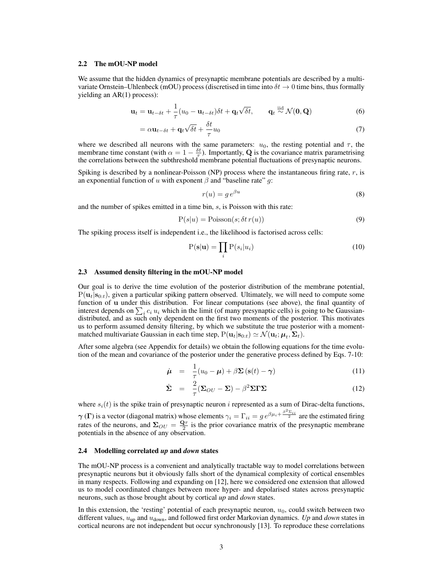## 2.2 The mOU-NP model

We assume that the hidden dynamics of presynaptic membrane potentials are described by a multivariate Ornstein–Uhlenbeck (mOU) process (discretised in time into  $\delta t \to 0$  time bins, thus formally yielding an AR(1) process):

$$
\mathbf{u}_t = \mathbf{u}_{t-\delta t} + \frac{1}{\tau} (u_0 - \mathbf{u}_{t-\delta t}) \delta t + \mathbf{q}_t \sqrt{\delta t}, \qquad \mathbf{q}_t \stackrel{\text{iid}}{\sim} \mathcal{N}(\mathbf{0}, \mathbf{Q}) \tag{6}
$$

$$
= \alpha \mathbf{u}_{t-\delta t} + \mathbf{q}_t \sqrt{\delta t} + \frac{\delta t}{\tau} u_0 \tag{7}
$$

where we described all neurons with the same parameters:  $u_0$ , the resting potential and  $\tau$ , the membrane time constant (with  $\alpha = 1 - \frac{\delta t}{\tau}$ ). Importantly, Q is the covariance matrix parametrising the correlations between the subthreshold membrane potential fluctuations of presynaptic neurons.

Spiking is described by a nonlinear-Poisson (NP) process where the instantaneous firing rate, *r*, is an exponential function of *u* with exponent  $\beta$  and "baseline rate" *g*:

$$
r(u) = g e^{\beta u} \tag{8}
$$

and the number of spikes emitted in a time bin, *s*, is Poisson with this rate:

$$
P(s|u) = \text{Poisson}(s; \delta t \, r(u))\tag{9}
$$

The spiking process itself is independent i.e., the likelihood is factorised across cells:

$$
P(s|u) = \prod_{i} P(s_i|u_i)
$$
\n(10)

#### 2.3 Assumed density filtering in the mOU-NP model

Our goal is to derive the time evolution of the posterior distribution of the membrane potential,  $P(\mathbf{u}_t|\mathbf{s}_{0:t})$ , given a particular spiking pattern observed. Ultimately, we will need to compute some function of u under this distribution. For linear computations (see above), the final quantity of interest depends on  $\sum_i c_i u_i$  which in the limit (of many presynaptic cells) is going to be Gaussiandistributed, and as such only dependent on the first two moments of the posterior. This motivates us to perform assumed density filtering, by which we substitute the true posterior with a momentmatched multivariate Gaussian in each time step,  $P(\mathbf{u}_t|\mathbf{s}_{0:t}) \simeq \mathcal{N}(\mathbf{u}_t;\boldsymbol{\mu}_t,\boldsymbol{\Sigma}_t)$ .

After some algebra (see Appendix for details) we obtain the following equations for the time evolution of the mean and covariance of the posterior under the generative process defined by Eqs. 7-10:

$$
\dot{\boldsymbol{\mu}} = \frac{1}{\tau}(u_0 - \boldsymbol{\mu}) + \beta \boldsymbol{\Sigma} (\mathbf{s}(t) - \boldsymbol{\gamma}) \tag{11}
$$

$$
\dot{\Sigma} = \frac{2}{\tau} (\Sigma_{OU} - \Sigma) - \beta^2 \Sigma \Gamma \Sigma \tag{12}
$$

where  $s_i(t)$  is the spike train of presynaptic neuron *i* represented as a sum of Dirac-delta functions,  $\gamma(\Gamma)$  is a vector (diagonal matrix) whose elements  $\gamma_i = \Gamma_{ii} = g e^{\beta \mu_i + \frac{\beta^2 \Sigma_{ii}}{2}}$  are the estimated firing rates of the neurons, and  $\Sigma_{OU} = \frac{Q\tau}{2}$  is the prior covariance matrix of the presynaptic membrane potentials in the absence of any observation.

#### 2.4 Modelling correlated *up* and *down* states

The mOU-NP process is a convenient and analytically tractable way to model correlations between presynaptic neurons but it obviously falls short of the dynamical complexity of cortical ensembles in many respects. Following and expanding on [12], here we considered one extension that allowed us to model coordinated changes between more hyper- and depolarised states across presynaptic neurons, such as those brought about by cortical *up* and *down* states.

In this extension, the 'resting' potential of each presynaptic neuron,  $u_0$ , could switch between two different values, *u*up and *u*down, and followed first order Markovian dynamics. *Up* and *down* states in cortical neurons are not independent but occur synchronously [13]. To reproduce these correlations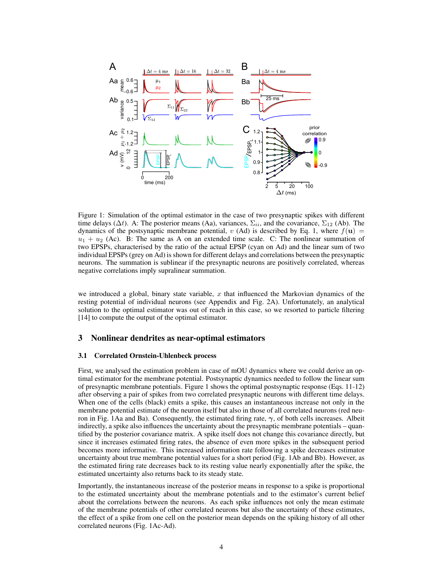

Figure 1: Simulation of the optimal estimator in the case of two presynaptic spikes with different time delays ( $\Delta t$ ). A: The posterior means (Aa), variances,  $\Sigma_{ii}$ , and the covariance,  $\Sigma_{12}$  (Ab). The dynamics of the postsynaptic membrane potential, *v* (Ad) is described by Eq. 1, where  $f(\mathbf{u}) =$  $u_1 + u_2$  (Ac). B: The same as A on an extended time scale. C: The nonlinear summation of two EPSPs, characterised by the ratio of the actual EPSP (cyan on Ad) and the linear sum of two individual EPSPs (grey on Ad) is shown for different delays and correlations between the presynaptic neurons. The summation is sublinear if the presynaptic neurons are positively correlated, whereas negative correlations imply supralinear summation.

we introduced a global, binary state variable, *x* that influenced the Markovian dynamics of the resting potential of individual neurons (see Appendix and Fig. 2A). Unfortunately, an analytical solution to the optimal estimator was out of reach in this case, so we resorted to particle filtering [14] to compute the output of the optimal estimator.

## 3 Nonlinear dendrites as near-optimal estimators

#### 3.1 Correlated Ornstein-Uhlenbeck process

First, we analysed the estimation problem in case of mOU dynamics where we could derive an optimal estimator for the membrane potential. Postsynaptic dynamics needed to follow the linear sum of presynaptic membrane potentials. Figure 1 shows the optimal postsynaptic response (Eqs. 11-12) after observing a pair of spikes from two correlated presynaptic neurons with different time delays. When one of the cells (black) emits a spike, this causes an instantaneous increase not only in the membrane potential estimate of the neuron itself but also in those of all correlated neurons (red neuron in Fig. 1Aa and Ba). Consequently, the estimated firing rate,  $\gamma$ , of both cells increases. Albeit indirectly, a spike also influences the uncertainty about the presynaptic membrane potentials – quantified by the posterior covariance matrix. A spike itself does not change this covariance directly, but since it increases estimated firing rates, the absence of even more spikes in the subsequent period becomes more informative. This increased information rate following a spike decreases estimator uncertainty about true membrane potential values for a short period (Fig. 1Ab and Bb). However, as the estimated firing rate decreases back to its resting value nearly exponentially after the spike, the estimated uncertainty also returns back to its steady state.

Importantly, the instantaneous increase of the posterior means in response to a spike is proportional to the estimated uncertainty about the membrane potentials and to the estimator's current belief about the correlations between the neurons. As each spike influences not only the mean estimate of the membrane potentials of other correlated neurons but also the uncertainty of these estimates, the effect of a spike from one cell on the posterior mean depends on the spiking history of all other correlated neurons (Fig. 1Ac-Ad).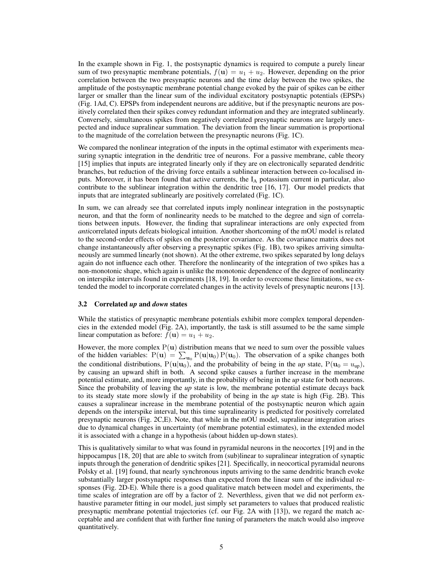In the example shown in Fig. 1, the postsynaptic dynamics is required to compute a purely linear sum of two presynaptic membrane potentials,  $f(u) = u_1 + u_2$ . However, depending on the prior correlation between the two presynaptic neurons and the time delay between the two spikes, the amplitude of the postsynaptic membrane potential change evoked by the pair of spikes can be either larger or smaller than the linear sum of the individual excitatory postsynaptic potentials (EPSPs) (Fig. 1Ad, C). EPSPs from independent neurons are additive, but if the presynaptic neurons are positively correlated then their spikes convey redundant information and they are integrated sublinearly. Conversely, simultaneous spikes from negatively correlated presynaptic neurons are largely unexpected and induce supralinear summation. The deviation from the linear summation is proportional to the magnitude of the correlation between the presynaptic neurons (Fig. 1C).

We compared the nonlinear integration of the inputs in the optimal estimator with experiments measuring synaptic integration in the dendritic tree of neurons. For a passive membrane, cable theory [15] implies that inputs are integrated linearly only if they are on electronically separated dendritic branches, but reduction of the driving force entails a sublinear interaction between co-localised inputs. Moreover, it has been found that active currents, the  $I_A$  potassium current in particular, also contribute to the sublinear integration within the dendritic tree [16, 17]. Our model predicts that inputs that are integrated sublinearly are positively correlated (Fig. 1C).

In sum, we can already see that correlated inputs imply nonlinear integration in the postsynaptic neuron, and that the form of nonlinearity needs to be matched to the degree and sign of correlations between inputs. However, the finding that supralinear interactions are only expected from *anti*correlated inputs defeats biological intuition. Another shortcoming of the mOU model is related to the second-order effects of spikes on the posterior covariance. As the covariance matrix does not change instantaneously after observing a presynaptic spikes (Fig. 1B), two spikes arriving simultaneously are summed linearly (not shown). At the other extreme, two spikes separated by long delays again do not influence each other. Therefore the nonlinearity of the integration of two spikes has a non-monotonic shape, which again is unlike the monotonic dependence of the degree of nonlinearity on interspike intervals found in experiments [18, 19]. In order to overcome these limitations, we extended the model to incorporate correlated changes in the activity levels of presynaptic neurons [13].

#### 3.2 Correlated *up* and *down* states

While the statistics of presynaptic membrane potentials exhibit more complex temporal dependencies in the extended model (Fig. 2A), importantly, the task is still assumed to be the same simple linear computation as before:  $f(\mathbf{u}) = u_1 + u_2$ .

However, the more complex  $P(u)$  distribution means that we need to sum over the possible values of the hidden variables:  $P(\mathbf{u}) = \sum_{\mathbf{u}_0} P(\mathbf{u}|\mathbf{u}_0) P(\mathbf{u}_0)$ . The observation of a spike changes both the conditional distributions,  $P(\mathbf{u}|\mathbf{u}_0)$ , and the probability of being in the *up* state,  $P(\mathbf{u}_0 = u_{\text{un}})$ , by causing an upward shift in both. A second spike causes a further increase in the membrane potential estimate, and, more importantly, in the probability of being in the *up* state for both neurons. Since the probability of leaving the *up* state is low, the membrane potential estimate decays back to its steady state more slowly if the probability of being in the *up* state is high (Fig. 2B). This causes a supralinear increase in the membrane potential of the postsynaptic neuron which again depends on the interspike interval, but this time supralinearity is predicted for positively correlated presynaptic neurons (Fig. 2C,E). Note, that while in the mOU model, supralinear integration arises due to dynamical changes in uncertainty (of membrane potential estimates), in the extended model it is associated with a change in a hypothesis (about hidden up-down states).

This is qualitatively similar to what was found in pyramidal neurons in the neocortex [19] and in the hippocampus [18, 20] that are able to switch from (sub)linear to supralinear integration of synaptic inputs through the generation of dendritic spikes [21]. Specifically, in neocortical pyramidal neurons Polsky et al. [19] found, that nearly synchronous inputs arriving to the same dendritic branch evoke substantially larger postsynaptic responses than expected from the linear sum of the individual responses (Fig. 2D-E). While there is a good qualitative match between model and experiments, the time scales of integration are off by a factor of 2. Neverthless, given that we did not perform exhaustive parameter fitting in our model, just simply set parameters to values that produced realistic presynaptic membrane potential trajectories (cf. our Fig. 2A with [13]), we regard the match acceptable and are confident that with further fine tuning of parameters the match would also improve quantitatively.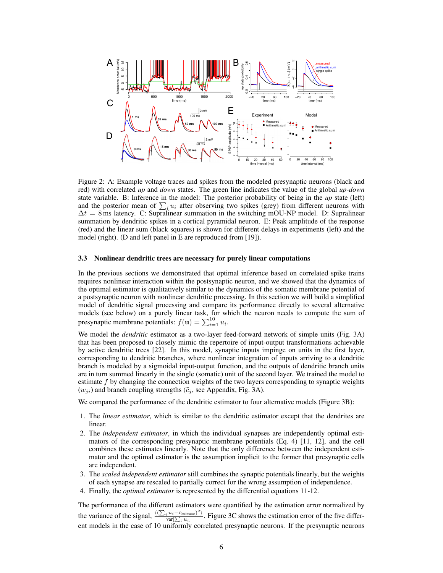

Figure 2: A: Example voltage traces and spikes from the modeled presynaptic neurons (black and red) with correlated *up* and *down* states. The green line indicates the value of the global *up*-*down* state variable. B: Inference in the model: The posterior probability of being in the *up* state (left) and the posterior mean of  $\sum_i u_i$  after observing two spikes (grey) from different neurons with  $\Delta t = 8$  ms latency. C: Supralinear summation in the switching mOU-NP model. D: Supralinear summation by dendritic spikes in a cortical pyramidal neuron. E: Peak amplitude of the response (red) and the linear sum (black squares) is shown for different delays in experiments (left) and the model (right). (D and left panel in E are reproduced from [19]).

#### 3.3 Nonlinear dendritic trees are necessary for purely linear computations

In the previous sections we demonstrated that optimal inference based on correlated spike trains requires nonlinear interaction within the postsynaptic neuron, and we showed that the dynamics of the optimal estimator is qualitatively similar to the dynamics of the somatic membrane potential of a postsynaptic neuron with nonlinear dendritic processing. In this section we will build a simplified model of dendritic signal processing and compare its performance directly to several alternative models (see below) on a purely linear task, for which the neuron needs to compute the sum of presynaptic membrane potentials:  $f(\mathbf{u}) = \sum_{i=1}^{10} u_i$ .

We model the *dendritic* estimator as a two-layer feed-forward network of simple units (Fig. 3A) that has been proposed to closely mimic the repertoire of input-output transformations achievable by active dendritic trees [22]. In this model, synaptic inputs impinge on units in the first layer, corresponding to dendritic branches, where nonlinear integration of inputs arriving to a dendritic branch is modeled by a sigmoidal input-output function, and the outputs of dendritic branch units are in turn summed linearly in the single (somatic) unit of the second layer. We trained the model to estimate *f* by changing the connection weights of the two layers corresponding to synaptic weights  $(w_{ji})$  and branch coupling strengths  $(\tilde{c}_j)$ , see Appendix, Fig. 3A).

We compared the performance of the dendritic estimator to four alternative models (Figure 3B):

- 1. The *linear estimator*, which is similar to the dendritic estimator except that the dendrites are linear.
- 2. The *independent estimator*, in which the individual synapses are independently optimal estimators of the corresponding presynaptic membrane potentials (Eq. 4) [11, 12], and the cell combines these estimates linearly. Note that the only difference between the independent estimator and the optimal estimator is the assumption implicit to the former that presynaptic cells are independent.
- 3. The *scaled independent estimator* still combines the synaptic potentials linearly, but the weights of each synapse are rescaled to partially correct for the wrong assumption of independence.
- 4. Finally, the *optimal estimator* is represented by the differential equations 11-12.

The performance of the different estimators were quantified by the estimation error normalized by the variance of the signal,  $\frac{\langle (\sum_i u_i - \tilde{v}_{\text{estimator}})^2 \rangle}{\text{var}[\sum_i u_i]}$ . Figure 3C shows the estimation error of the five different models in the case of 10 uniformly correlated presynaptic neurons. If the presynaptic neurons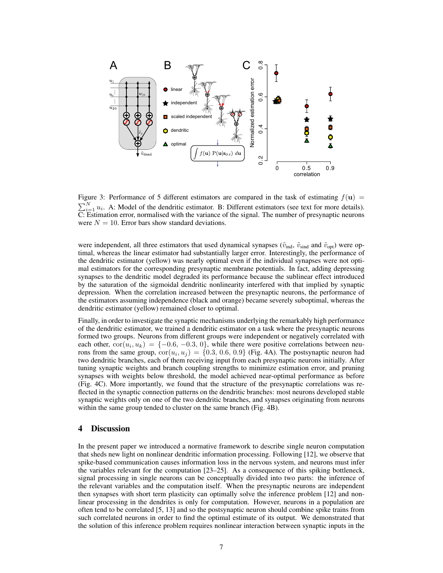

Figure 3: Performance of 5 different estimators are compared in the task of estimating  $f(\mathbf{u}) =$  $\nabla^N$  $i_1 u_i$ . A: Model of the dendritic estimator. B: Different estimators (see text for more details).  $\overline{C}$ : Estimation error, normalised with the variance of the signal. The number of presynaptic neurons were  $N = 10$ . Error bars show standard deviations.

were independent, all three estimators that used dynamical synapses ( $\tilde{v}_{ind}$ ,  $\tilde{v}_{sind}$  and  $\tilde{v}_{opt}$ ) were optimal, whereas the linear estimator had substantially larger error. Interestingly, the performance of the dendritic estimator (yellow) was nearly optimal even if the individual synapses were not optimal estimators for the corresponding presynaptic membrane potentials. In fact, adding depressing synapses to the dendritic model degraded its performance because the sublinear effect introduced by the saturation of the sigmoidal dendritic nonlinearity interfered with that implied by synaptic depression. When the correlation increased between the presynaptic neurons, the performance of the estimators assuming independence (black and orange) became severely suboptimal, whereas the dendritic estimator (yellow) remained closer to optimal.

Finally, in order to investigate the synaptic mechanisms underlying the remarkably high performance of the dendritic estimator, we trained a dendritic estimator on a task where the presynaptic neurons formed two groups. Neurons from different groups were independent or negatively correlated with each other,  $\text{cor}(u_i, u_k) = \{-0.6, -0.3, 0\}$ , while there were positive correlations between neurons from the same group,  $\text{cor}(u_i, u_j) = \{0.3, 0.6, 0.9\}$  (Fig. 4A). The postsynaptic neuron had two dendritic branches, each of them receiving input from each presynaptic neurons initially. After tuning synaptic weights and branch coupling strengths to minimize estimation error, and pruning synapses with weights below threshold, the model achieved near-optimal performance as before (Fig. 4C). More importantly, we found that the structure of the presynaptic correlations was reflected in the synaptic connection patterns on the dendritic branches: most neurons developed stable synaptic weights only on one of the two dendritic branches, and synapses originating from neurons within the same group tended to cluster on the same branch (Fig. 4B).

## 4 Discussion

In the present paper we introduced a normative framework to describe single neuron computation that sheds new light on nonlinear dendritic information processing. Following [12], we observe that spike-based communication causes information loss in the nervous system, and neurons must infer the variables relevant for the computation [23–25]. As a consequence of this spiking bottleneck, signal processing in single neurons can be conceptually divided into two parts: the inference of the relevant variables and the computation itself. When the presynaptic neurons are independent then synapses with short term plasticity can optimally solve the inference problem [12] and nonlinear processing in the dendrites is only for computation. However, neurons in a population are often tend to be correlated [5, 13] and so the postsynaptic neuron should combine spike trains from such correlated neurons in order to find the optimal estimate of its output. We demonstrated that the solution of this inference problem requires nonlinear interaction between synaptic inputs in the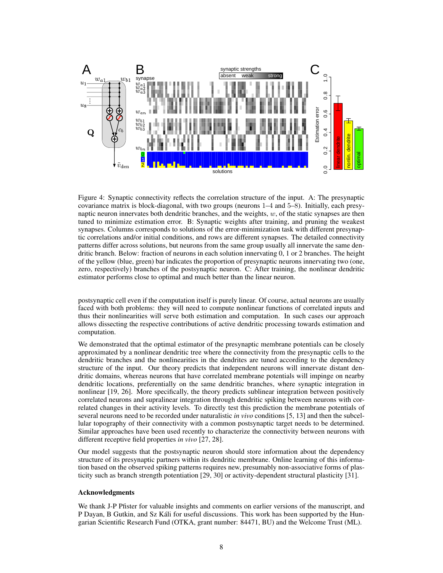

Figure 4: Synaptic connectivity reflects the correlation structure of the input. A: The presynaptic covariance matrix is block-diagonal, with two groups (neurons 1–4 and 5–8). Initially, each presynaptic neuron innervates both dendritic branches, and the weights, *w*, of the static synapses are then tuned to minimize estimation error. B: Synaptic weights after training, and pruning the weakest synapses. Columns corresponds to solutions of the error-minimization task with different presynaptic correlations and/or initial conditions, and rows are different synapses. The detailed connectivity patterns differ across solutions, but neurons from the same group usually all innervate the same dendritic branch. Below: fraction of neurons in each solution innervating 0, 1 or 2 branches. The height of the yellow (blue, green) bar indicates the proportion of presynaptic neurons innervating two (one, zero, respectively) branches of the postsynaptic neuron. C: After training, the nonlinear dendritic estimator performs close to optimal and much better than the linear neuron.

postsynaptic cell even if the computation itself is purely linear. Of course, actual neurons are usually faced with both problems: they will need to compute nonlinear functions of correlated inputs and thus their nonlinearities will serve both estimation and computation. In such cases our approach allows dissecting the respective contributions of active dendritic processing towards estimation and computation.

We demonstrated that the optimal estimator of the presynaptic membrane potentials can be closely approximated by a nonlinear dendritic tree where the connectivity from the presynaptic cells to the dendritic branches and the nonlinearities in the dendrites are tuned according to the dependency structure of the input. Our theory predicts that independent neurons will innervate distant dendritic domains, whereas neurons that have correlated membrane potentials will impinge on nearby dendritic locations, preferentially on the same dendritic branches, where synaptic integration in nonlinear [19, 26]. More specifically, the theory predicts sublinear integration between positively correlated neurons and supralinear integration through dendritic spiking between neurons with correlated changes in their activity levels. To directly test this prediction the membrane potentials of several neurons need to be recorded under naturalistic *in vivo* conditions [5, 13] and then the subcellular topography of their connectivity with a common postsynaptic target needs to be determined. Similar approaches have been used recently to characterize the connectivity between neurons with different receptive field properties *in vivo* [27, 28].

Our model suggests that the postsynaptic neuron should store information about the dependency structure of its presynaptic partners within its dendritic membrane. Online learning of this information based on the observed spiking patterns requires new, presumably non-associative forms of plasticity such as branch strength potentiation [29, 30] or activity-dependent structural plasticity [31].

#### Acknowledgments

We thank J-P Pfister for valuable insights and comments on earlier versions of the manuscript, and P Dayan, B Gutkin, and Sz Kali for useful discussions. This work has been supported by the Hun- ´ garian Scientific Research Fund (OTKA, grant number: 84471, BU) and the Welcome Trust (ML).